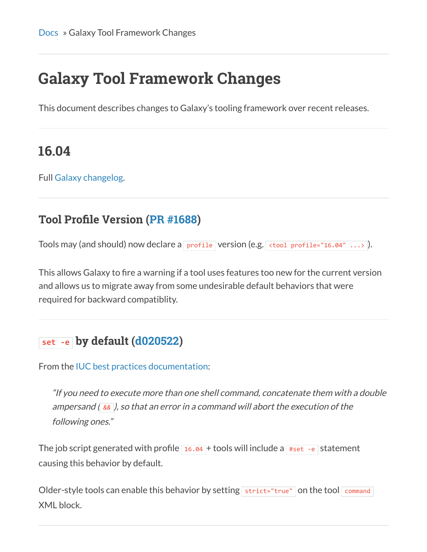# **Galaxy Tool Framework Changes**

This document describes changes to Galaxy's tooling framework over recent releases.

### **16.04**

Full [Galaxy changelog](https://docs.galaxyproject.org/en/master/releases/16.04_announce.html).

#### **Tool Profile Version ([PR #1688\)](https://github.com/galaxyproject/galaxy/pull/1688)**

Tools may (and should) now declare a profile version (e.g.  $\lt$ tool profile="16.04" ...>).

This allows Galaxy to fire a warning if a tool uses features too new for the current version and allows us to migrate away from some undesirable default behaviors that were required for backward compatiblity.

#### **set ‐e by default ([d020522](https://github.com/galaxyproject/galaxy/pull/1688/commits/d020522650a9bfc86c22923a01fd5d7c07c65326))**

From the [IUC best practices documentation](http://galaxy-iuc-standards.readthedocs.org/en/latest/best_practices/tool_xml.html#command-tag):

"If you need to execute more than one shell command, concatenate them with a double ampersand ( *&&* ), so that an error in a command will abort the execution of the following ones."

The job script generated with profile  $\frac{16.04}{16.04}$  + tools will include a  $\frac{4}{160}$  + statement causing this behavior by default.

Older-style tools can enable this behavior by setting  $\frac{1}{1}$  strict="true" on the tool command XML block.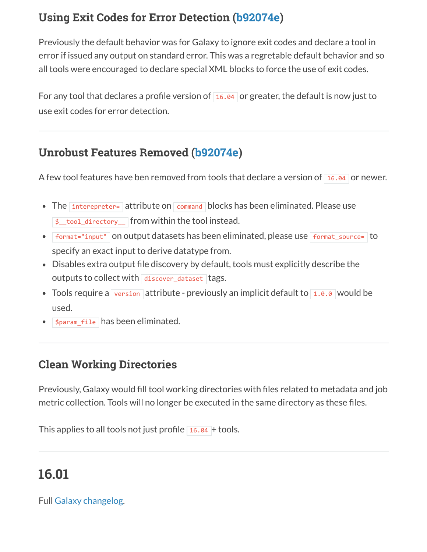#### **Using Exit Codes for Error Detection ([b92074e](http://planemo.readthedocs.org/en/latest/b92074e6ff87a19133b4d973577779c4ee6286d7))**

Previously the default behavior was for Galaxy to ignore exit codes and declare a tool in error if issued any output on standard error. This was a regretable default behavior and so all tools were encouraged to declare special XML blocks to force the use of exit codes.

For any tool that declares a profile version of  $\overline{16.04}$  or greater, the default is now just to use exit codes for error detection.

#### **Unrobust Features Removed ([b92074e](http://planemo.readthedocs.org/en/latest/b92074e6ff87a19133b4d973577779c4ee6286d7))**

A few tool features have ben removed from tools that declare a version of  $\frac{16.04}{16.04}$  or newer.

- The interepreter= attribute on command blocks has been eliminated. Please use \$\_\_tool\_directory\_\_ from within the tool instead.
- Format="input" on output datasets has been eliminated, please use Format source= to specify an exact input to derive datatype from.
- Disables extra output file discovery by default, tools must explicitly describe the outputs to collect with  $\frac{d}{dx}$  discover\_dataset tags.
- Tools require a version attribute previously an implicit default to  $1.0.0$  would be used.
- \$param\_file has been eliminated.

#### **Clean Working Directories**

Previously, Galaxy would fill tool working directories with files related to metadata and job metric collection. Tools will no longer be executed in the same directory as these files.

This applies to all tools not just profile  $16.04 + \text{tools}$ .

## **16.01**

#### Full [Galaxy changelog](https://docs.galaxyproject.org/en/master/releases/16.01_announce.html).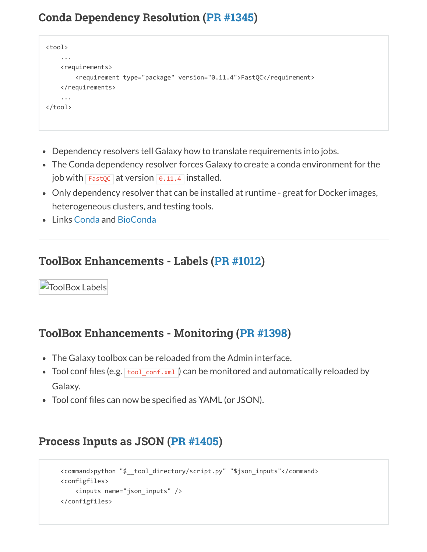#### **Conda Dependency Resolution [\(PR #1345\)](https://github.com/galaxyproject/galaxy/pull/1345)**

```
<tool> 
         ... 
        <requirements> 
                  <requirement type="package" version="0.11.4">FastQC</requirement> 
         </requirements> 
         ... 
</tool>
```
- Dependency resolvers tell Galaxy how to translate requirements into jobs.
- The Conda dependency resolver forces Galaxy to create a conda environment for the job with  $F$ astoc at version  $\theta$ .11.4 installed.
- Only dependency resolver that can be installed at runtime great for Docker images, heterogeneous clusters, and testing tools.
- Links [Conda](http://conda.pydata.org/docs/) and [BioConda](https://bioconda.github.io/)

#### **ToolBox Enhancements - Labels ([PR #1012](https://github.com/galaxyproject/galaxy/pull/1012))**

**ToolBox Labels** 

#### **ToolBox Enhancements - Monitoring ([PR #1398\)](https://github.com/galaxyproject/galaxy/pull/1398)**

- The Galaxy toolbox can be reloaded from the Admin interface.
- Tool conf files (e.g.  $\frac{1}{10}$  tool\_conf.xml) can be monitored and automatically reloaded by Galaxy.
- Tool conf files can now be specified as YAML (or JSON).

#### **Process Inputs as JSON [\(PR #1405](https://github.com/galaxyproject/galaxy/pull/1405))**

```
    <command>python "$__tool_directory/script.py" "$json_inputs"</command> 
    <configfiles> 
            <inputs name="json_inputs" /> 
    </configfiles>
```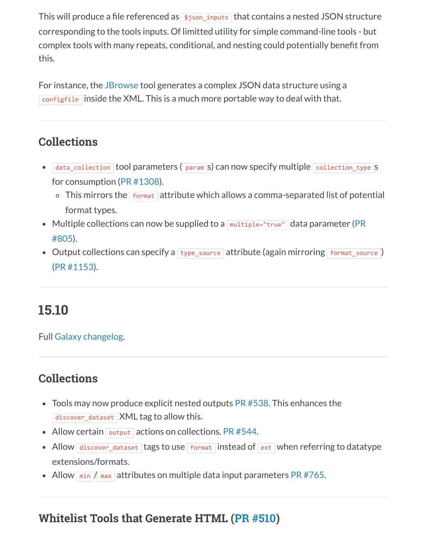This will produce a file referenced as  $\frac{1}{2}$  sjson\_inputs that contains a nested JSON structure corresponding to the tools inputs. Of limitted utility for simple command-line tools - but complex tools with many repeats, conditional, and nesting could potentially benefit from this.

For instance, the [JBrowse](https://github.com/galaxyproject/tools-iuc/blob/master/tools/jbrowse/jbrowse.xml) tool generates a complex JSON data structure using a configfile inside the XML. This is a much more portable way to deal with that.

#### **Collections**

- data\_collection tool parameters ( param s) can now specify multiple collection\_type S for consumption [\(PR #1308](https://github.com/galaxyproject/galaxy/pull/1308)).
	- $\circ$  This mirrors the  $\frac{1}{10}$  format attribute which allows a comma-separated list of potential format types.
- [Multiple collections can now be supplied to a](https://github.com/galaxyproject/galaxy/pull/805)  $mu$   $time$   $data$  parameter (PR #805).
- Output collections can specify a  $t$ ype\_source attribute (again mirroring  $f$ ormat\_source) ([PR #1153](https://github.com/galaxyproject/galaxy/pull/1153)).

### **15.10**

Full [Galaxy changelog](https://docs.galaxyproject.org/en/master/releases/15.10_announce.html).

#### **Collections**

- $\bullet$  Tools may now produce explicit nested outputs [PR #538](https://github.com/galaxyproject/galaxy/pull/538). This enhances the discover\_dataset XML tag to allow this.
- Allow certain  $\sqrt{\frac{1}{\sqrt{2}}}$  actions on collections. [PR #544.](https://github.com/galaxyproject/galaxy/pull/544)
- Allow discover\_dataset tags to use format instead of  $ext{ext}$  when referring to datatype extensions/formats.
- Allow  $\frac{min}{max}$  attributes on multiple data input parameters [PR #765](https://github.com/galaxyproject/galaxy/pull/765).

#### **Whitelist Tools that Generate HTML ([PR #510\)](https://github.com/galaxyproject/galaxy/pull/510)**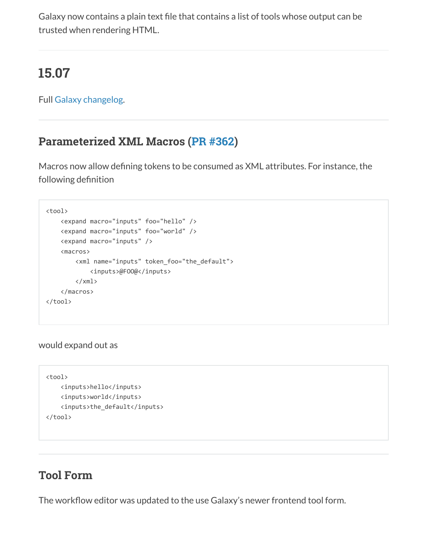Galaxy now contains a plain text file that contains a list of tools whose output can be trusted when rendering HTML.

### **15.07**

Full [Galaxy changelog](https://docs.galaxyproject.org/en/master/releases/15.07_announce.html).

#### **Parameterized XML Macros ([PR #362\)](https://github.com/galaxyproject/galaxy/pull/362)**

Macros now allow defining tokens to be consumed as XML attributes. For instance, the following definition

```
<tool> 
         <expand macro="inputs" foo="hello" /> 
         <expand macro="inputs" foo="world" /> 
         <expand macro="inputs" /> 
         <macros> 
                  <xml name="inputs" token_foo="the_default">
                           <inputs>@FOO@</inputs> 
          \langle xm1 \rangle    </macros> 
</tool>
```
would expand out as

```
<tool> 
        <inputs>hello</inputs> 
        <inputs>world</inputs> 
        <inputs>the_default</inputs> 
</tool>
```
#### **Tool Form**

The workflow editor was updated to the use Galaxy's newer frontend tool form.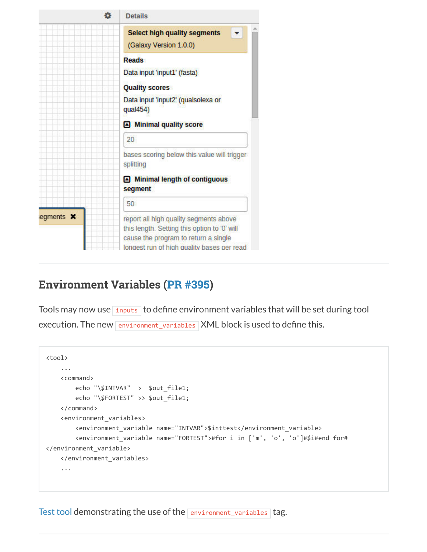| o                | <b>Details</b>                                                                                                                                                               |
|------------------|------------------------------------------------------------------------------------------------------------------------------------------------------------------------------|
|                  | <b>Select high quality segments</b><br>(Galaxy Version 1.0.0)                                                                                                                |
|                  | <b>Reads</b><br>Data input 'input1' (fasta)<br><b>Quality scores</b>                                                                                                         |
|                  | Data input 'input2' (qualsolexa or<br>qual454)                                                                                                                               |
|                  | Minimal quality score                                                                                                                                                        |
|                  | 20                                                                                                                                                                           |
|                  | bases scoring below this value will trigger<br>splitting                                                                                                                     |
|                  | Minimal length of contiguous<br>segment                                                                                                                                      |
|                  | 50                                                                                                                                                                           |
| egments <b>x</b> | report all high quality segments above<br>this length. Setting this option to '0' will<br>cause the program to return a single<br>longest run of high quality bases per read |

#### **Environment Variables ([PR #395](https://github.com/galaxyproject/galaxy/pull/395))**

Tools may now use inputs to define environment variables that will be set during tool execution. The new environment variables XML block is used to define this.

```
<tool> 
        ... 
        <command> 
                 echo "\$INTVAR"  >  $out_file1; 
                 echo "\$FORTEST" >> $out_file1; 
        </command> 
        <environment_variables> 
                 <environment_variable name="INTVAR">$inttest</environment_variable> 
                 <environment_variable name="FORTEST">#for i in ['m', 'o', 'o']#$i#end for#
</environment_variable> 
        </environment_variables> 
         ...
```
[Test tool](https://github.com/galaxyproject/galaxy/blob/dev/test/functional/tools/environment_variables.xml) demonstrating the use of the environment\_variables tag.